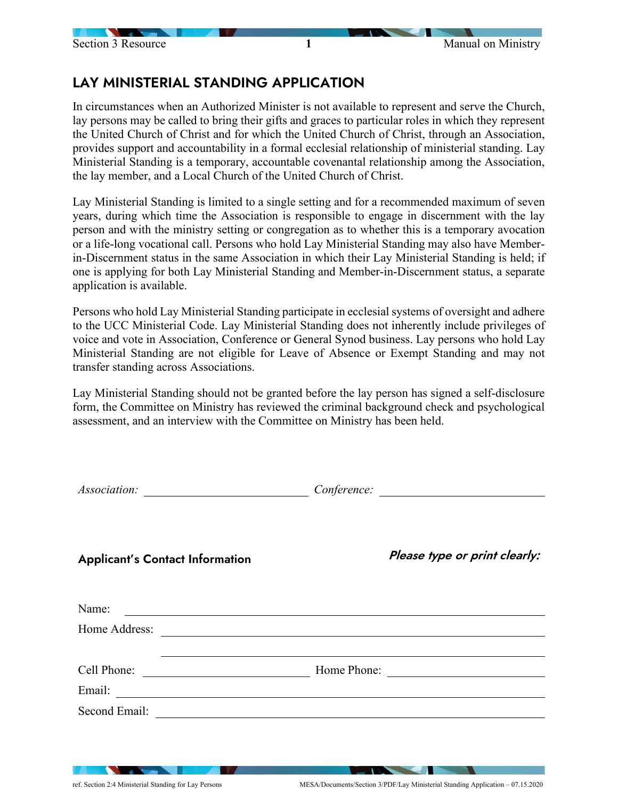# LAY MINISTERIAL STANDING APPLICATION

In circumstances when an Authorized Minister is not available to represent and serve the Church, lay persons may be called to bring their gifts and graces to particular roles in which they represent the United Church of Christ and for which the United Church of Christ, through an Association, provides support and accountability in a formal ecclesial relationship of ministerial standing. Lay Ministerial Standing is a temporary, accountable covenantal relationship among the Association, the lay member, and a Local Church of the United Church of Christ.

Lay Ministerial Standing is limited to a single setting and for a recommended maximum of seven years, during which time the Association is responsible to engage in discernment with the lay person and with the ministry setting or congregation as to whether this is a temporary avocation or a life-long vocational call. Persons who hold Lay Ministerial Standing may also have Memberin-Discernment status in the same Association in which their Lay Ministerial Standing is held; if one is applying for both Lay Ministerial Standing and Member-in-Discernment status, a separate application is available.

Persons who hold Lay Ministerial Standing participate in ecclesial systems of oversight and adhere to the UCC Ministerial Code. Lay Ministerial Standing does not inherently include privileges of voice and vote in Association, Conference or General Synod business. Lay persons who hold Lay Ministerial Standing are not eligible for Leave of Absence or Exempt Standing and may not transfer standing across Associations.

Lay Ministerial Standing should not be granted before the lay person has signed a self-disclosure form, the Committee on Ministry has reviewed the criminal background check and psychological assessment, and an interview with the Committee on Ministry has been held.

|                                                                          | Conference:                   |
|--------------------------------------------------------------------------|-------------------------------|
| <b>Applicant's Contact Information</b>                                   | Please type or print clearly: |
| Name:                                                                    |                               |
|                                                                          |                               |
|                                                                          |                               |
|                                                                          |                               |
|                                                                          |                               |
| Second Email:<br><u> 1980 - Andrea State Barbara, política establece</u> |                               |
|                                                                          |                               |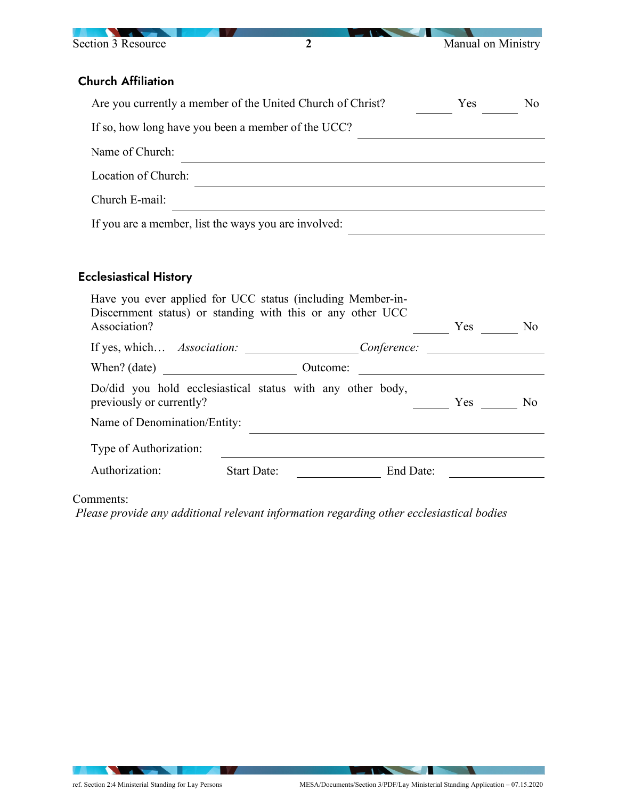

## Church Affiliation

| Are you currently a member of the United Church of Christ? | <b>Yes</b> | No. |  |
|------------------------------------------------------------|------------|-----|--|
| If so, how long have you been a member of the UCC?         |            |     |  |
| Name of Church:                                            |            |     |  |
| Location of Church:                                        |            |     |  |
| Church E-mail:                                             |            |     |  |
| If you are a member, list the ways you are involved:       |            |     |  |

### Ecclesiastical History

| Have you ever applied for UCC status (including Member-in-<br>Discernment status) or standing with this or any other UCC<br>Association? |                    |          |             | Yes | N <sub>0</sub> |
|------------------------------------------------------------------------------------------------------------------------------------------|--------------------|----------|-------------|-----|----------------|
| If yes, which <i>Association:</i>                                                                                                        |                    |          | Conference: |     |                |
| When? $(data)$                                                                                                                           |                    | Outcome: |             |     |                |
| Do/did you hold ecclesiastical status with any other body,<br>previously or currently?                                                   |                    |          |             | Yes | No             |
| Name of Denomination/Entity:                                                                                                             |                    |          |             |     |                |
| Type of Authorization:                                                                                                                   |                    |          |             |     |                |
| Authorization:                                                                                                                           | <b>Start Date:</b> |          | End Date:   |     |                |
|                                                                                                                                          |                    |          |             |     |                |

#### Comments:

*Please provide any additional relevant information regarding other ecclesiastical bodies*

**The Contract of the Contract of the Contract of the Contract of the Contract of the Contract of the Contract of The Contract of The Contract of The Contract of The Contract of The Contract of The Contract of The Contract**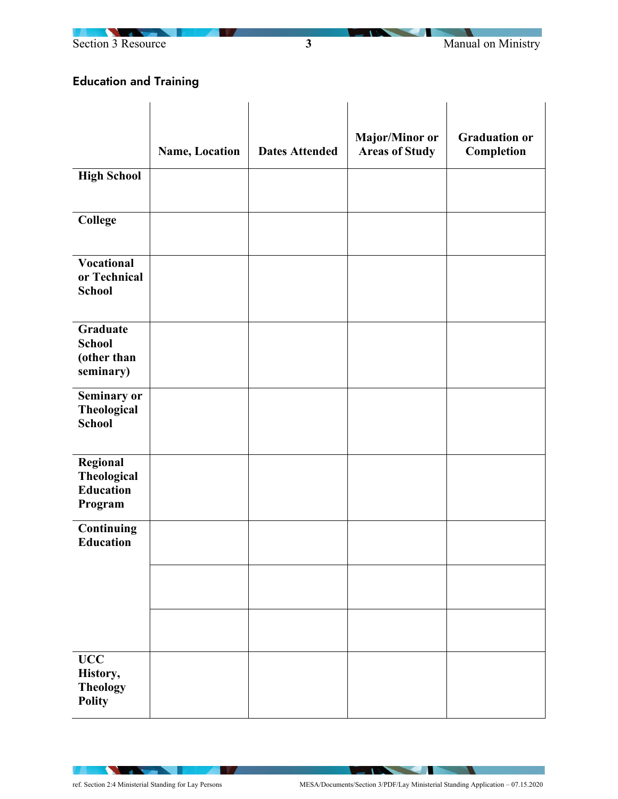



# Education and Training

|                                                              |                |                       | Major/Minor or        | <b>Graduation or</b> |
|--------------------------------------------------------------|----------------|-----------------------|-----------------------|----------------------|
|                                                              | Name, Location | <b>Dates Attended</b> | <b>Areas of Study</b> | Completion           |
| <b>High School</b>                                           |                |                       |                       |                      |
| <b>College</b>                                               |                |                       |                       |                      |
| <b>Vocational</b><br>or Technical<br><b>School</b>           |                |                       |                       |                      |
| <b>Graduate</b><br><b>School</b><br>(other than<br>seminary) |                |                       |                       |                      |
| Seminary or<br><b>Theological</b><br><b>School</b>           |                |                       |                       |                      |
| Regional<br>Theological<br><b>Education</b><br>Program       |                |                       |                       |                      |
| Continuing<br><b>Education</b>                               |                |                       |                       |                      |
|                                                              |                |                       |                       |                      |
|                                                              |                |                       |                       |                      |
| $\bf{UCC}$<br>History,<br><b>Theology</b><br><b>Polity</b>   |                |                       |                       |                      |

**The Manufacturer** 

**IV** 

 $-1$  . The set of  $\mathbb{R}$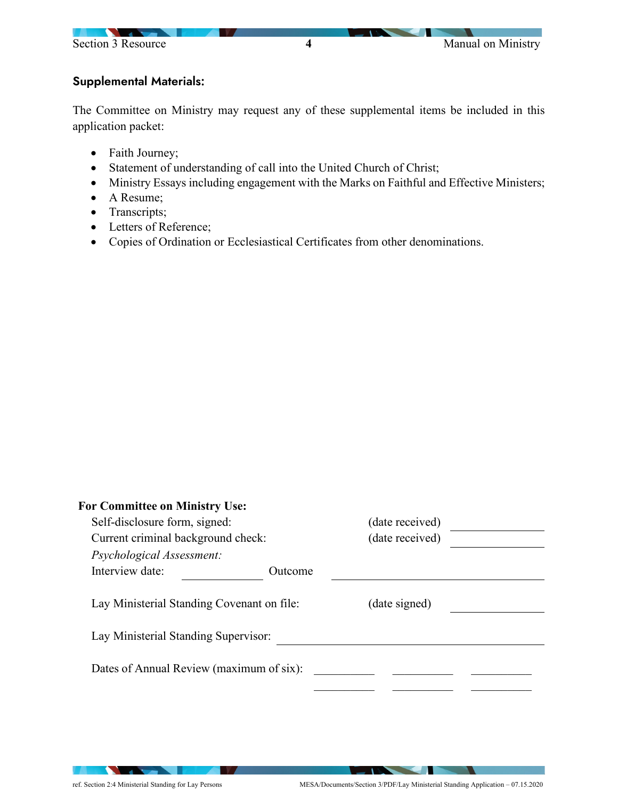

### Supplemental Materials:

The Committee on Ministry may request any of these supplemental items be included in this application packet:

- Faith Journey;
- Statement of understanding of call into the United Church of Christ;
- Ministry Essays including engagement with the Marks on Faithful and Effective Ministers;
- A Resume;
- Transcripts;
- Letters of Reference;
- Copies of Ordination or Ecclesiastical Certificates from other denominations.

| <b>For Committee on Ministry Use:</b>                                              |         |                 |  |
|------------------------------------------------------------------------------------|---------|-----------------|--|
| Self-disclosure form, signed:                                                      |         | (date received) |  |
| Current criminal background check:                                                 |         | (date received) |  |
| Psychological Assessment:                                                          |         |                 |  |
| Interview date:                                                                    | Outcome |                 |  |
| Lay Ministerial Standing Covenant on file:<br>Lay Ministerial Standing Supervisor: |         | (date signed)   |  |
| Dates of Annual Review (maximum of six):                                           |         |                 |  |

**STATE OF BUILDING** 

**Contract of the Contract of the Contract of the Contract of the Contract of the Contract of the Contract of the Contract of the Contract of the Contract of the Contract of the Contract of The Contract of The Contract of T** 

**The Contract of the Contract of the Contract of the Contract of the Contract of the Contract of the Contract of The Contract of The Contract of The Contract of The Contract of The Contract of The Contract of The Contract**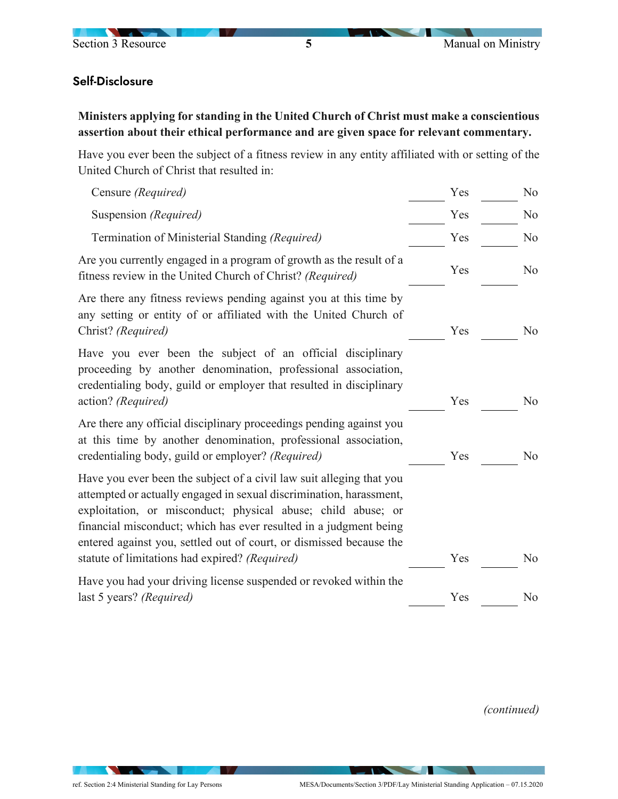

### Self-Disclosure

**Ministers applying for standing in the United Church of Christ must make a conscientious assertion about their ethical performance and are given space for relevant commentary.**

Have you ever been the subject of a fitness review in any entity affiliated with or setting of the United Church of Christ that resulted in:

| Censure (Required)                                                                                                                                                                                                                                                                                                                                                                                        | Yes | No             |
|-----------------------------------------------------------------------------------------------------------------------------------------------------------------------------------------------------------------------------------------------------------------------------------------------------------------------------------------------------------------------------------------------------------|-----|----------------|
| Suspension (Required)                                                                                                                                                                                                                                                                                                                                                                                     | Yes | N <sub>o</sub> |
| Termination of Ministerial Standing (Required)                                                                                                                                                                                                                                                                                                                                                            | Yes | N <sub>o</sub> |
| Are you currently engaged in a program of growth as the result of a<br>fitness review in the United Church of Christ? (Required)                                                                                                                                                                                                                                                                          | Yes | N <sub>o</sub> |
| Are there any fitness reviews pending against you at this time by<br>any setting or entity of or affiliated with the United Church of<br>Christ? (Required)                                                                                                                                                                                                                                               | Yes | N <sub>o</sub> |
| Have you ever been the subject of an official disciplinary<br>proceeding by another denomination, professional association,<br>credentialing body, guild or employer that resulted in disciplinary<br>action? (Required)                                                                                                                                                                                  | Yes | No             |
| Are there any official disciplinary proceedings pending against you<br>at this time by another denomination, professional association,<br>credentialing body, guild or employer? (Required)                                                                                                                                                                                                               | Yes | N <sub>o</sub> |
| Have you ever been the subject of a civil law suit alleging that you<br>attempted or actually engaged in sexual discrimination, harassment,<br>exploitation, or misconduct; physical abuse; child abuse; or<br>financial misconduct; which has ever resulted in a judgment being<br>entered against you, settled out of court, or dismissed because the<br>statute of limitations had expired? (Required) | Yes | No             |
| Have you had your driving license suspended or revoked within the<br>last 5 years? (Required)                                                                                                                                                                                                                                                                                                             | Yes | No             |
|                                                                                                                                                                                                                                                                                                                                                                                                           |     |                |

*(continued)*

**STATE OF STATE** 

**The Contract of the Contract of the Contract of the Contract of the Contract of the Contract of the Contract of The Contract of The Contract of The Contract of The Contract of The Contract of The Contract of The Contract**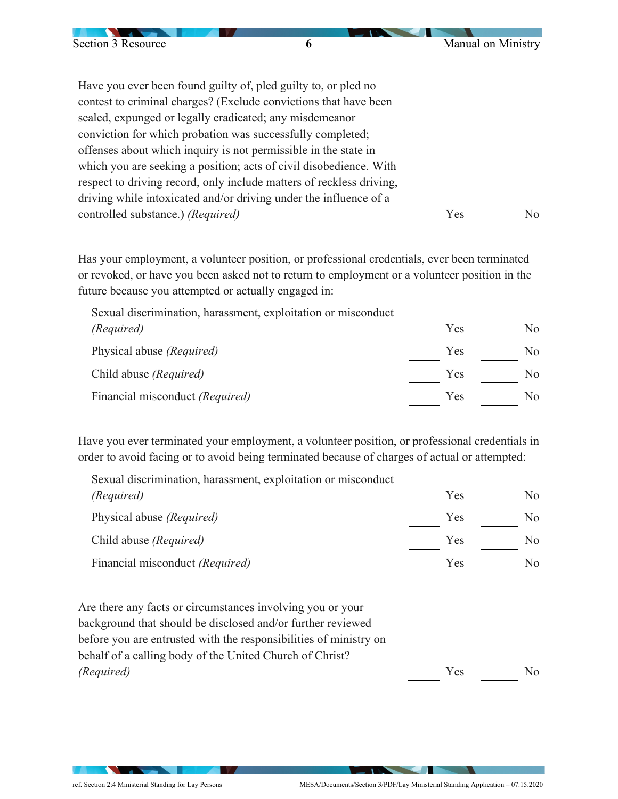| Section 3 Resource                | 6                                                                    | Manual on Ministry |     |
|-----------------------------------|----------------------------------------------------------------------|--------------------|-----|
|                                   |                                                                      |                    |     |
|                                   | Have you ever been found guilty of, pled guilty to, or pled no       |                    |     |
|                                   | contest to criminal charges? (Exclude convictions that have been     |                    |     |
|                                   | sealed, expunged or legally eradicated; any misdemeanor              |                    |     |
|                                   | conviction for which probation was successfully completed;           |                    |     |
|                                   | offenses about which inquiry is not permissible in the state in      |                    |     |
|                                   | which you are seeking a position; acts of civil disobedience. With   |                    |     |
|                                   | respect to driving record, only include matters of reckless driving, |                    |     |
|                                   | driving while intoxicated and/or driving under the influence of a    |                    |     |
| controlled substance.) (Required) |                                                                      | Yes                | No. |

Has your employment, a volunteer position, or professional credentials, ever been terminated or revoked, or have you been asked not to return to employment or a volunteer position in the future because you attempted or actually engaged in:

Sexual discrimination, harassment, exploitation or misconduct *(Required)* Physical abuse *(Required)* Yes Yes No No Child abuse *(Required)* Yes No Financial misconduct *(Required)* Yes No

Have you ever terminated your employment, a volunteer position, or professional credentials in order to avoid facing or to avoid being terminated because of charges of actual or attempted:

Sexual discrimination, harassment, exploitation or misconduct *(Required)* Physical abuse *(Required)* Yes Yes No  $\frac{N_0}{N_0}$ Child abuse *(Required)* Yes No Financial misconduct *(Required)* Yes No

Are there any facts or circumstances involving you or your background that should be disclosed and/or further reviewed before you are entrusted with the responsibilities of ministry on behalf of a calling body of the United Church of Christ? *(Required)* Yes No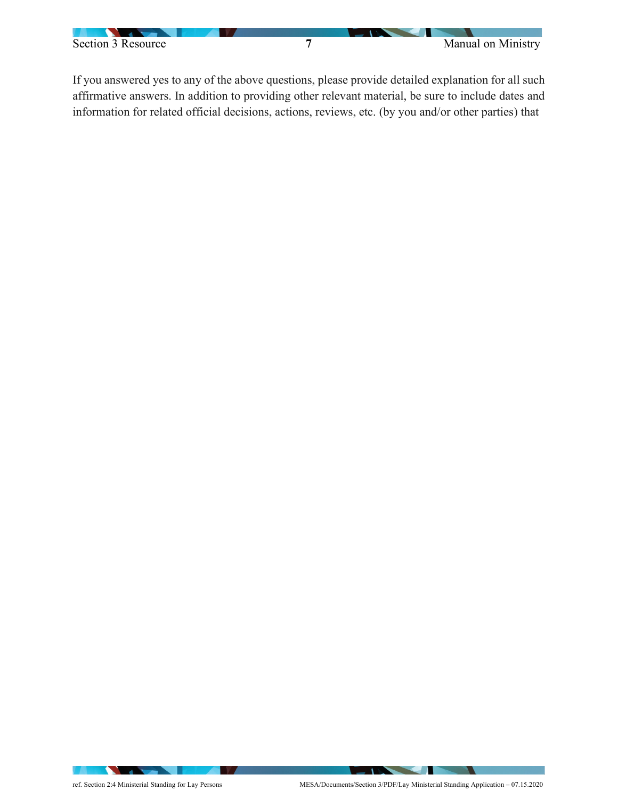

If you answered yes to any of the above questions, please provide detailed explanation for all such affirmative answers. In addition to providing other relevant material, be sure to include dates and information for related official decisions, actions, reviews, etc. (by you and/or other parties) that

**The Contract of the Contract of the Contract of the Contract of the Contract of the Contract of The Contract of The Contract of The Contract of The Contract of The Contract of The Contract of The Contract of The Contract**